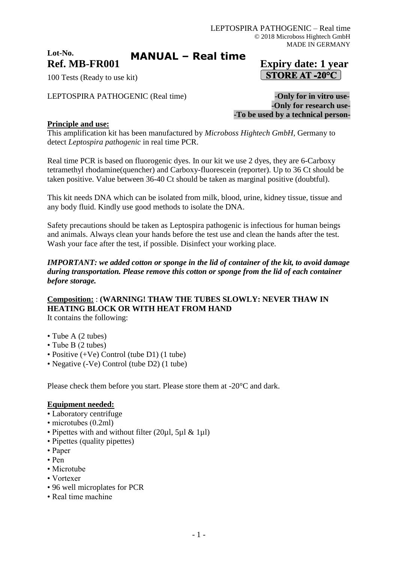#### **Lot-No. Ref. MB-FR001 Expiry date: 1 year MANUAL – Real time**

# **STORE AT -20°C**

100 Tests (Ready to use kit)

LEPTOSPIRA PATHOGENIC (Real time) **-Only for in vitro use-**

**-Only for research use- -To be used by a technical person-**

### **Principle and use:**

This amplification kit has been manufactured by *Microboss Hightech GmbH,* Germany to detect *Leptospira pathogenic* in real time PCR.

Real time PCR is based on fluorogenic dyes. In our kit we use 2 dyes, they are 6-Carboxy tetramethyl rhodamine(quencher) and Carboxy-fluorescein (reporter). Up to 36 Ct should be taken positive. Value between 36-40 Ct should be taken as marginal positive (doubtful).

This kit needs DNA which can be isolated from milk, blood, urine, kidney tissue, tissue and any body fluid. Kindly use good methods to isolate the DNA.

Safety precautions should be taken as Leptospira pathogenic is infectious for human beings and animals. Always clean your hands before the test use and clean the hands after the test. Wash your face after the test, if possible. Disinfect your working place.

#### *IMPORTANT: we added cotton or sponge in the lid of container of the kit, to avoid damage during transportation. Please remove this cotton or sponge from the lid of each container before storage.*

# **Composition:** : **(WARNING! THAW THE TUBES SLOWLY: NEVER THAW IN HEATING BLOCK OR WITH HEAT FROM HAND**

It contains the following:

- Tube A (2 tubes)
- Tube B (2 tubes)
- Positive (+Ve) Control (tube D1) (1 tube)
- Negative (-Ve) Control (tube D2) (1 tube)

Please check them before you start. Please store them at -20°C and dark.

#### **Equipment needed:**

- Laboratory centrifuge
- microtubes (0.2ml)
- Pipettes with and without filter (20 $\mu$ l, 5 $\mu$ l & 1 $\mu$ l)
- Pipettes (quality pipettes)
- Paper
- Pen
- Microtube
- Vortexer
- 96 well microplates for PCR
- Real time machine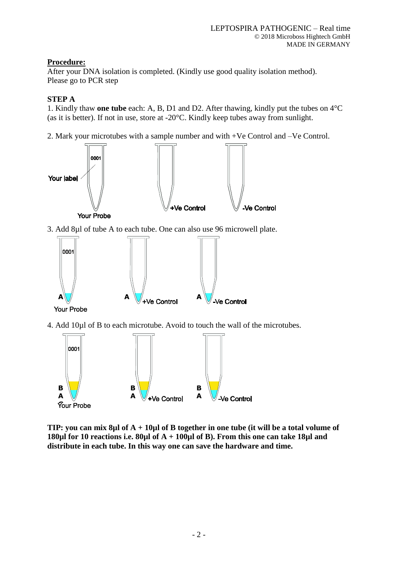# **Procedure:**

After your DNA isolation is completed. (Kindly use good quality isolation method). Please go to PCR step

# **STEP A**

1. Kindly thaw **one tube** each: A, B, D1 and D2. After thawing, kindly put the tubes on 4°C (as it is better). If not in use, store at -20°C. Kindly keep tubes away from sunlight.

2. Mark your microtubes with a sample number and with +Ve Control and –Ve Control.



3. Add 8µl of tube A to each tube. One can also use 96 microwell plate.



**Your Probe** 

4. Add 10µl of B to each microtube. Avoid to touch the wall of the microtubes.



**TIP: you can mix 8µl of A + 10µl of B together in one tube (it will be a total volume of 180µl for 10 reactions i.e. 80µl of A + 100µl of B). From this one can take 18µl and distribute in each tube. In this way one can save the hardware and time.**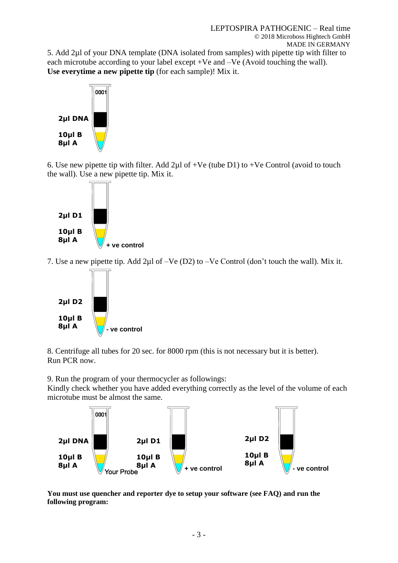5. Add 2µl of your DNA template (DNA isolated from samples) with pipette tip with filter to each microtube according to your label except +Ve and –Ve (Avoid touching the wall). **Use everytime a new pipette tip** (for each sample)! Mix it.



6. Use new pipette tip with filter. Add  $2\mu$ l of +Ve (tube D1) to +Ve Control (avoid to touch the wall). Use a new pipette tip. Mix it.



7. Use a new pipette tip. Add 2µl of –Ve (D2) to –Ve Control (don't touch the wall). Mix it.



8. Centrifuge all tubes for 20 sec. for 8000 rpm (this is not necessary but it is better). Run PCR now.

9. Run the program of your thermocycler as followings:

Kindly check whether you have added everything correctly as the level of the volume of each microtube must be almost the same.



**You must use quencher and reporter dye to setup your software (see FAQ) and run the following program:**